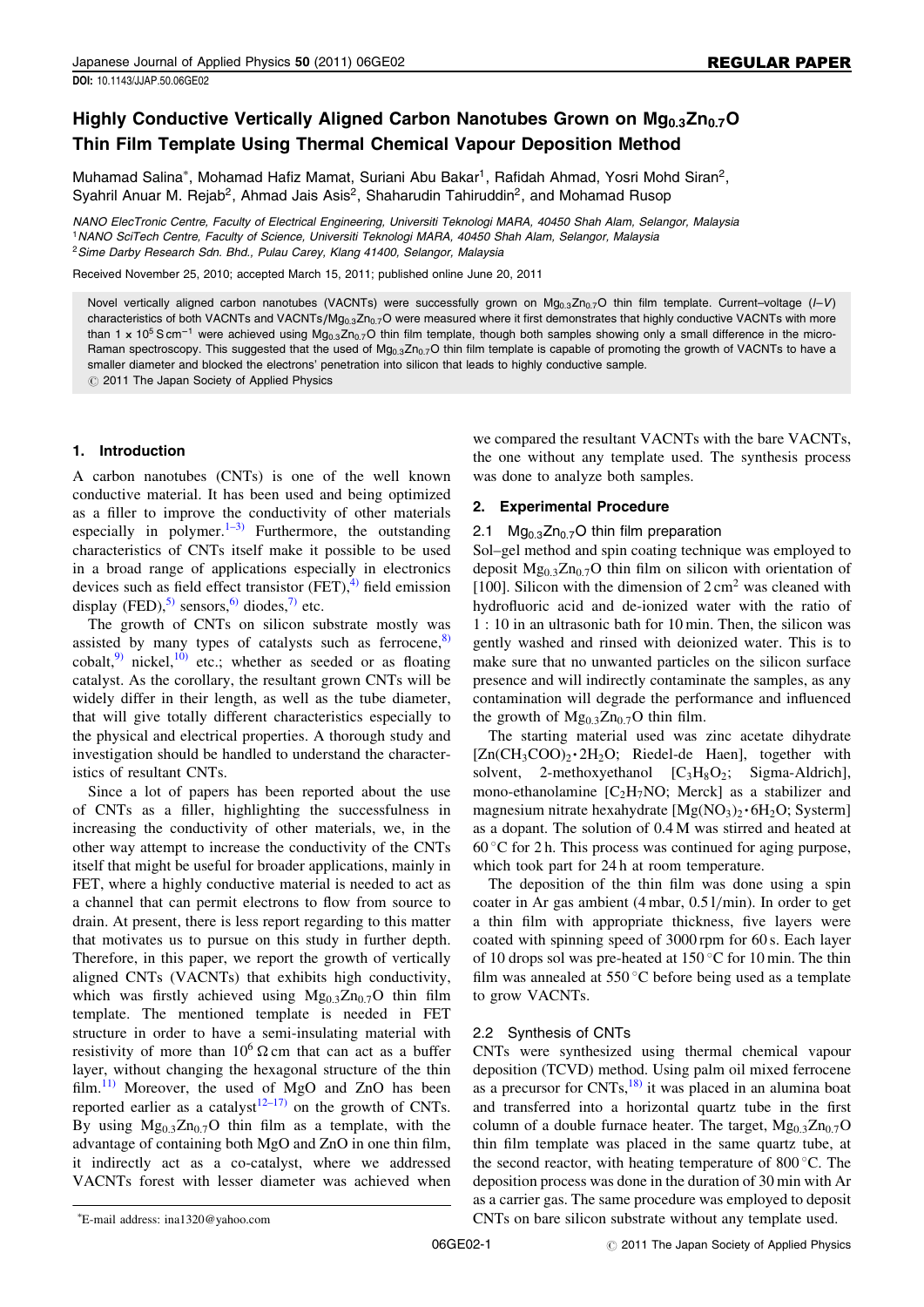# Highly Conductive Vertically Aligned Carbon Nanotubes Grown on  $Mg_{0,3}Zn_{0,7}O$ Thin Film Template Using Thermal Chemical Vapour Deposition Method

Muhamad Salina<sup>\*</sup>, Mohamad Hafiz Mamat, Suriani Abu Bakar<sup>1</sup>, Rafidah Ahmad, Yosri Mohd Siran<sup>2</sup>, Syahril Anuar M. Rejab<sup>2</sup>, Ahmad Jais Asis<sup>2</sup>, Shaharudin Tahiruddin<sup>2</sup>, and Mohamad Rusop

NANO ElecTronic Centre, Faculty of Electrical Engineering, Universiti Teknologi MARA, 40450 Shah Alam, Selangor, Malaysia <sup>1</sup>NANO SciTech Centre, Faculty of Science, Universiti Teknologi MARA, 40450 Shah Alam, Selangor, Malaysia <sup>2</sup> Sime Darby Research Sdn. Bhd., Pulau Carey, Klang 41400, Selangor, Malaysia

Received November 25, 2010; accepted March 15, 2011; published online June 20, 2011

Novel vertically aligned carbon nanotubes (VACNTs) were successfully grown on  $Mg_{0.3}Zn_{0.7}O$  thin film template. Current–voltage (I–V) characteristics of both VACNTs and VACNTs/Mg<sub>0.3</sub>Zn<sub>0.7</sub>O were measured where it first demonstrates that highly conductive VACNTs with more than 1 x 10<sup>5</sup> S cm<sup>-1</sup> were achieved using Mg<sub>0.3</sub>Zn<sub>0.7</sub>O thin film template, though both samples showing only a small difference in the micro-Raman spectroscopy. This suggested that the used of  $Mg_{0.3}Zn_{0.7}O$  thin film template is capable of promoting the growth of VACNTs to have a smaller diameter and blocked the electrons' penetration into silicon that leads to highly conductive sample.  $\circledcirc$  2011 The Japan Society of Applied Physics

## 1. Introduction

A carbon nanotubes (CNTs) is one of the well known conductive material. It has been used and being optimized as a filler to improve the conductivity of other materials especially in polymer. $1-3$  Furthermore, the outstanding characteristics of CNTs itself make it possible to be used in a broad range of applications especially in electronics devices such as field effect transistor  $(FET)$ ,  $^{4)}$  $^{4)}$  $^{4)}$  field emission display (FED),<sup>[5\)](#page-4-0)</sup> sensors,<sup>[6\)](#page-4-0)</sup> diodes,<sup>[7\)](#page-4-0)</sup> etc.

The growth of CNTs on silicon substrate mostly was assisted by many types of catalysts such as ferrocene, $\frac{8}{ }$ cobalt,<sup>[9\)](#page-4-0)</sup> nickel,<sup>10</sup>) etc.; whether as seeded or as floating catalyst. As the corollary, the resultant grown CNTs will be widely differ in their length, as well as the tube diameter, that will give totally different characteristics especially to the physical and electrical properties. A thorough study and investigation should be handled to understand the characteristics of resultant CNTs.

Since a lot of papers has been reported about the use of CNTs as a filler, highlighting the successfulness in increasing the conductivity of other materials, we, in the other way attempt to increase the conductivity of the CNTs itself that might be useful for broader applications, mainly in FET, where a highly conductive material is needed to act as a channel that can permit electrons to flow from source to drain. At present, there is less report regarding to this matter that motivates us to pursue on this study in further depth. Therefore, in this paper, we report the growth of vertically aligned CNTs (VACNTs) that exhibits high conductivity, which was firstly achieved using  $Mg_{0,3}Zn_{0,7}O$  thin film template. The mentioned template is needed in FET structure in order to have a semi-insulating material with resistivity of more than  $10^6 \Omega$  cm that can act as a buffer layer, without changing the hexagonal structure of the thin film. $^{11)}$  $^{11)}$  $^{11)}$  Moreover, the used of MgO and ZnO has been reported earlier as a catalyst<sup>[12–17\)](#page-4-0)</sup> on the growth of CNTs. By using  $Mg_{0,3}Zn_{0,7}O$  thin film as a template, with the advantage of containing both MgO and ZnO in one thin film, it indirectly act as a co-catalyst, where we addressed VACNTs forest with lesser diameter was achieved when we compared the resultant VACNTs with the bare VACNTs, the one without any template used. The synthesis process was done to analyze both samples.

## 2. Experimental Procedure

### 2.1  $Mg<sub>0.3</sub>Zn<sub>0.7</sub>O$  thin film preparation

Sol–gel method and spin coating technique was employed to deposit  $Mg_{0,3}Zn_{0,7}O$  thin film on silicon with orientation of [100]. Silicon with the dimension of  $2 \text{ cm}^2$  was cleaned with hydrofluoric acid and de-ionized water with the ratio of 1 : 10 in an ultrasonic bath for 10 min. Then, the silicon was gently washed and rinsed with deionized water. This is to make sure that no unwanted particles on the silicon surface presence and will indirectly contaminate the samples, as any contamination will degrade the performance and influenced the growth of  $Mg_{0.3}Zn_{0.7}O$  thin film.

The starting material used was zinc acetate dihydrate  $[Zn(CH_3COO)_2 \cdot 2H_2O;$  Riedel-de Haen], together with solvent, 2-methoxyethanol  $[C_3H_8O_2;$  Sigma-Aldrich], mono-ethanolamine  $[C<sub>2</sub>H<sub>7</sub>NO; Merck]$  as a stabilizer and magnesium nitrate hexahydrate  $[Mg(NO<sub>3</sub>)<sub>2</sub> \cdot 6H<sub>2</sub>O$ ; Systerm] as a dopant. The solution of 0.4 M was stirred and heated at  $60^{\circ}$ C for 2 h. This process was continued for aging purpose, which took part for 24 h at room temperature.

The deposition of the thin film was done using a spin coater in Ar gas ambient (4 mbar, 0.5 l/min). In order to get a thin film with appropriate thickness, five layers were coated with spinning speed of 3000 rpm for 60 s. Each layer of 10 drops sol was pre-heated at 150 °C for 10 min. The thin film was annealed at  $550^{\circ}$ C before being used as a template to grow VACNTs.

### 2.2 Synthesis of CNTs

CNTs were synthesized using thermal chemical vapour deposition (TCVD) method. Using palm oil mixed ferrocene as a precursor for  $CNTs$ ,<sup>[18\)](#page-4-0)</sup> it was placed in an alumina boat and transferred into a horizontal quartz tube in the first column of a double furnace heater. The target,  $Mg_{0.3}Zn_{0.7}O$ thin film template was placed in the same quartz tube, at the second reactor, with heating temperature of  $800^{\circ}$ C. The deposition process was done in the duration of 30 min with Ar as a carrier gas. The same procedure was employed to deposit CNTs on bare silicon substrate without any template used.

E-mail address: ina1320@yahoo.com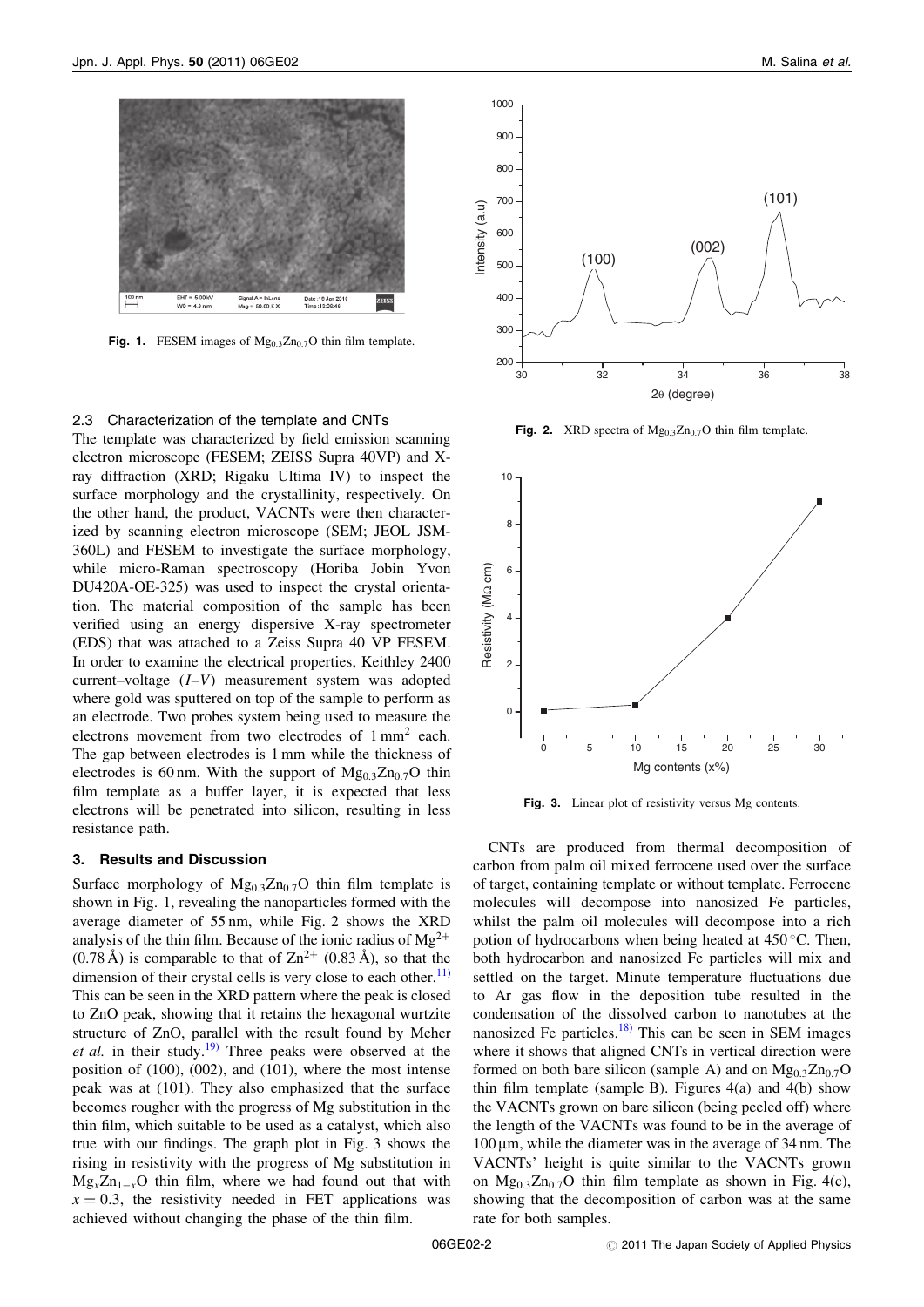

Fig. 1. FESEM images of  $Mg_{0.3}Zn_{0.7}O$  thin film template.

#### 2.3 Characterization of the template and CNTs

The template was characterized by field emission scanning electron microscope (FESEM; ZEISS Supra 40VP) and Xray diffraction (XRD; Rigaku Ultima IV) to inspect the surface morphology and the crystallinity, respectively. On the other hand, the product, VACNTs were then characterized by scanning electron microscope (SEM; JEOL JSM-360L) and FESEM to investigate the surface morphology, while micro-Raman spectroscopy (Horiba Jobin Yvon DU420A-OE-325) was used to inspect the crystal orientation. The material composition of the sample has been verified using an energy dispersive X-ray spectrometer (EDS) that was attached to a Zeiss Supra 40 VP FESEM. In order to examine the electrical properties, Keithley 2400 current–voltage (I–V) measurement system was adopted where gold was sputtered on top of the sample to perform as an electrode. Two probes system being used to measure the electrons movement from two electrodes of 1 mm<sup>2</sup> each. The gap between electrodes is 1 mm while the thickness of electrodes is 60 nm. With the support of  $Mg_{0,3}Zn_{0,7}O$  thin film template as a buffer layer, it is expected that less electrons will be penetrated into silicon, resulting in less resistance path.

### 3. Results and Discussion

Surface morphology of  $Mg_{0,3}Zn_{0,7}O$  thin film template is shown in Fig. 1, revealing the nanoparticles formed with the average diameter of 55 nm, while Fig. 2 shows the XRD analysis of the thin film. Because of the ionic radius of  $Mg^{2+}$  $(0.78 \text{ Å})$  is comparable to that of  $\text{Zn}^{2+}$   $(0.83 \text{ Å})$ , so that the dimension of their crystal cells is very close to each other. $^{11)}$  $^{11)}$  $^{11)}$ This can be seen in the XRD pattern where the peak is closed to ZnO peak, showing that it retains the hexagonal wurtzite structure of ZnO, parallel with the result found by Meher et al. in their study.<sup>[19\)](#page-4-0)</sup> Three peaks were observed at the position of (100), (002), and (101), where the most intense peak was at (101). They also emphasized that the surface becomes rougher with the progress of Mg substitution in the thin film, which suitable to be used as a catalyst, which also true with our findings. The graph plot in Fig. 3 shows the rising in resistivity with the progress of Mg substitution in  $Mg_{v}Zn_{1-v}O$  thin film, where we had found out that with  $x = 0.3$ , the resistivity needed in FET applications was achieved without changing the phase of the thin film.



Fig. 2. XRD spectra of  $Mg_{0.3}Zn_{0.7}O$  thin film template.



Fig. 3. Linear plot of resistivity versus Mg contents.

CNTs are produced from thermal decomposition of carbon from palm oil mixed ferrocene used over the surface of target, containing template or without template. Ferrocene molecules will decompose into nanosized Fe particles, whilst the palm oil molecules will decompose into a rich potion of hydrocarbons when being heated at  $450^{\circ}$ C. Then, both hydrocarbon and nanosized Fe particles will mix and settled on the target. Minute temperature fluctuations due to Ar gas flow in the deposition tube resulted in the condensation of the dissolved carbon to nanotubes at the nanosized Fe particles.<sup>[18\)](#page-4-0)</sup> This can be seen in SEM images where it shows that aligned CNTs in vertical direction were formed on both bare silicon (sample A) and on  $Mg_{0.3}Zn_{0.7}O$ thin film template (sample B). Figures  $4(a)$  and  $4(b)$  show the VACNTs grown on bare silicon (being peeled off) where the length of the VACNTs was found to be in the average of  $100 \mu m$ , while the diameter was in the average of 34 nm. The VACNTs' height is quite similar to the VACNTs grown on  $Mg_{0.3}Zn_{0.7}O$  thin film template as shown in Fig. 4(c), showing that the decomposition of carbon was at the same rate for both samples.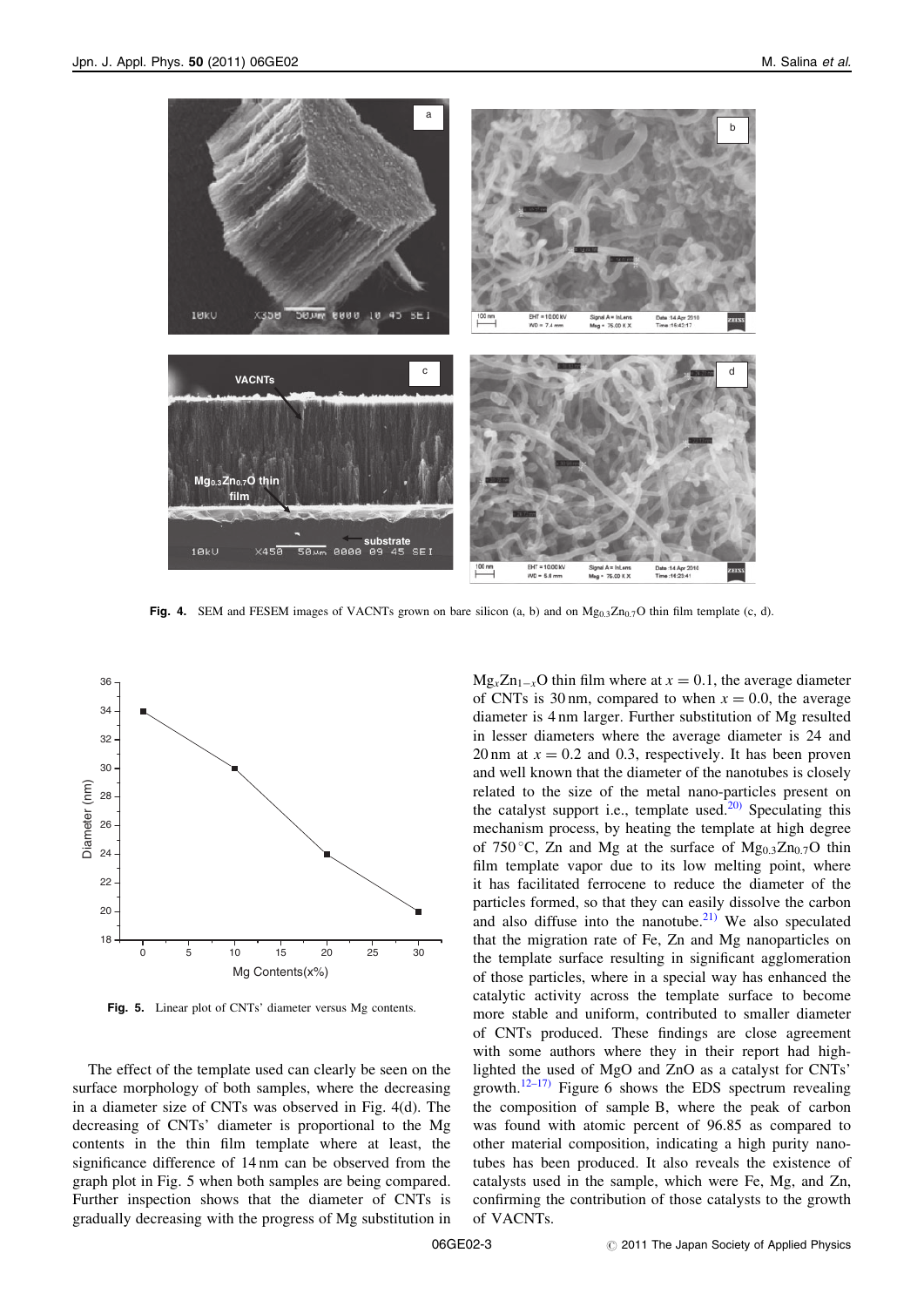

Fig. 4. SEM and FESEM images of VACNTs grown on bare silicon (a, b) and on  $Mg_{0.3}Zn_{0.7}O$  thin film template (c, d).



Fig. 5. Linear plot of CNTs' diameter versus Mg contents.

The effect of the template used can clearly be seen on the surface morphology of both samples, where the decreasing in a diameter size of CNTs was observed in Fig. 4(d). The decreasing of CNTs' diameter is proportional to the Mg contents in the thin film template where at least, the significance difference of 14 nm can be observed from the graph plot in Fig. 5 when both samples are being compared. Further inspection shows that the diameter of CNTs is gradually decreasing with the progress of Mg substitution in  $Mg_xZn_{1-x}O$  thin film where at  $x = 0.1$ , the average diameter of CNTs is 30 nm, compared to when  $x = 0.0$ , the average diameter is 4 nm larger. Further substitution of Mg resulted in lesser diameters where the average diameter is 24 and 20 nm at  $x = 0.2$  and 0.3, respectively. It has been proven and well known that the diameter of the nanotubes is closely related to the size of the metal nano-particles present on the catalyst support i.e., template used.<sup>[20\)](#page-4-0)</sup> Speculating this mechanism process, by heating the template at high degree of 750 °C, Zn and Mg at the surface of  $Mg_{0,3}Zn_{0,7}O$  thin film template vapor due to its low melting point, where it has facilitated ferrocene to reduce the diameter of the particles formed, so that they can easily dissolve the carbon and also diffuse into the nanotube. $^{21)}$  $^{21)}$  $^{21)}$  We also speculated that the migration rate of Fe, Zn and Mg nanoparticles on the template surface resulting in significant agglomeration of those particles, where in a special way has enhanced the catalytic activity across the template surface to become more stable and uniform, contributed to smaller diameter of CNTs produced. These findings are close agreement with some authors where they in their report had highlighted the used of MgO and ZnO as a catalyst for CNTs' growth.<sup>[12–17\)](#page-4-0)</sup> Figure 6 shows the EDS spectrum revealing the composition of sample B, where the peak of carbon was found with atomic percent of 96.85 as compared to other material composition, indicating a high purity nanotubes has been produced. It also reveals the existence of catalysts used in the sample, which were Fe, Mg, and Zn, confirming the contribution of those catalysts to the growth of VACNTs.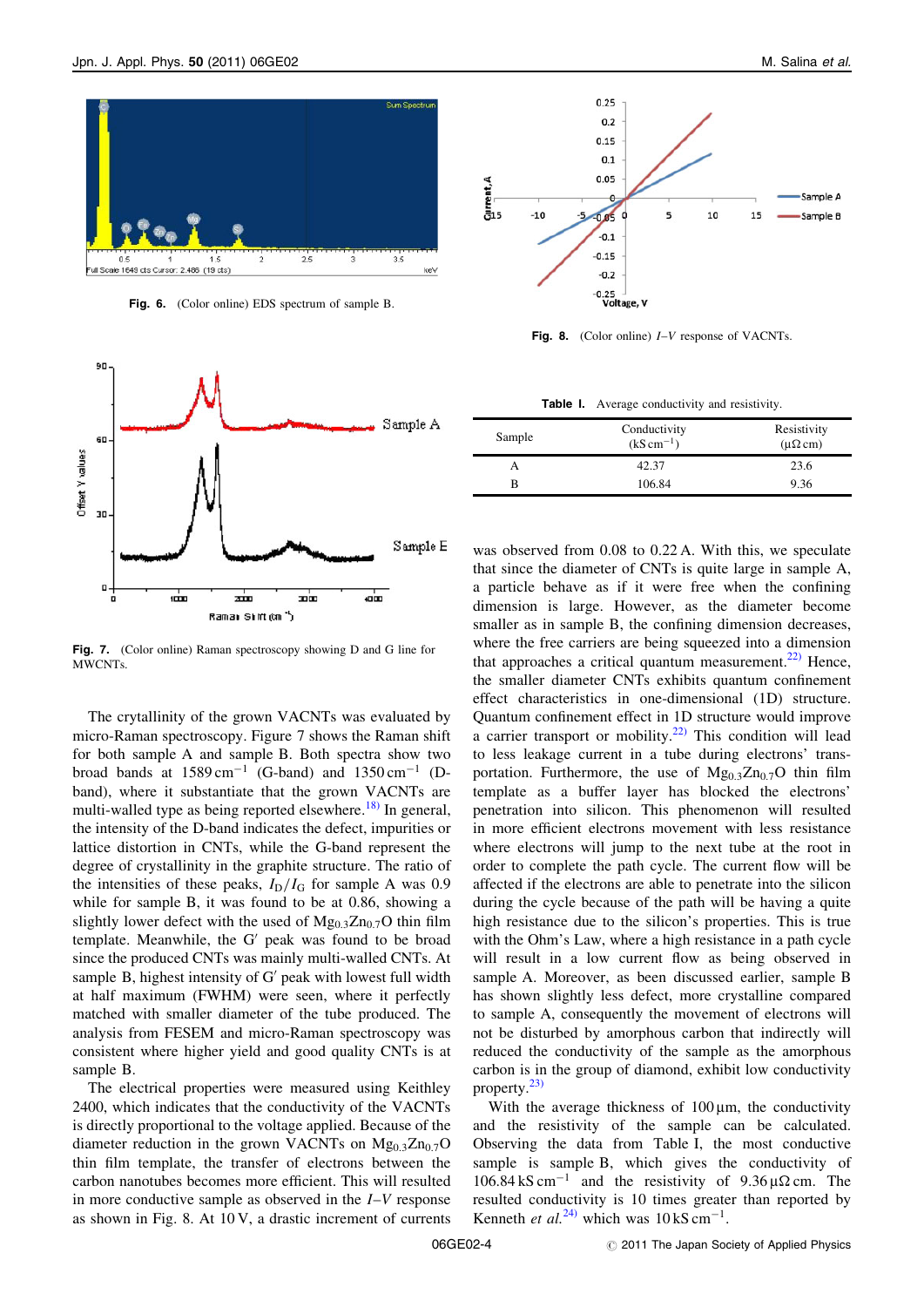

Fig. 6. (Color online) EDS spectrum of sample B.





Fig. 8. (Color online)  $I-V$  response of VACNTs.

| Table I. |  | Average conductivity and resistivity. |  |  |
|----------|--|---------------------------------------|--|--|
|----------|--|---------------------------------------|--|--|

| Sample | Conductivity<br>$(kS cm^{-1})$ | Resistivity<br>$(\mu\Omega \text{ cm})$ |
|--------|--------------------------------|-----------------------------------------|
|        | 42.37                          | 23.6                                    |
| в      | 106.84                         | 9.36                                    |

was observed from 0.08 to 0.22 A. With this, we speculate that since the diameter of CNTs is quite large in sample A, a particle behave as if it were free when the confining dimension is large. However, as the diameter become smaller as in sample B, the confining dimension decreases, where the free carriers are being squeezed into a dimension that approaches a critical quantum measurement. $^{22}$  Hence, the smaller diameter CNTs exhibits quantum confinement effect characteristics in one-dimensional (1D) structure. Quantum confinement effect in 1D structure would improve a carrier transport or mobility. $22$  This condition will lead to less leakage current in a tube during electrons' transportation. Furthermore, the use of  $Mg_{0.3}Zn_{0.7}O$  thin film template as a buffer layer has blocked the electrons' penetration into silicon. This phenomenon will resulted in more efficient electrons movement with less resistance where electrons will jump to the next tube at the root in order to complete the path cycle. The current flow will be affected if the electrons are able to penetrate into the silicon during the cycle because of the path will be having a quite high resistance due to the silicon's properties. This is true with the Ohm's Law, where a high resistance in a path cycle will result in a low current flow as being observed in sample A. Moreover, as been discussed earlier, sample B has shown slightly less defect, more crystalline compared to sample A, consequently the movement of electrons will not be disturbed by amorphous carbon that indirectly will reduced the conductivity of the sample as the amorphous carbon is in the group of diamond, exhibit low conductivity property.[23\)](#page-4-0)

With the average thickness of  $100 \mu m$ , the conductivity and the resistivity of the sample can be calculated. Observing the data from Table I, the most conductive sample is sample B, which gives the conductivity of  $106.84 \text{ kS cm}^{-1}$  and the resistivity of  $9.36 \mu\Omega$  cm. The resulted conductivity is 10 times greater than reported by Kenneth et al.<sup>[24\)](#page-4-0)</sup> which was  $10 \text{ kS cm}^{-1}$ .

Fig. 7. (Color online) Raman spectroscopy showing D and G line for MWCNTs.

The crytallinity of the grown VACNTs was evaluated by micro-Raman spectroscopy. Figure 7 shows the Raman shift for both sample A and sample B. Both spectra show two broad bands at  $1589 \text{ cm}^{-1}$  (G-band) and  $1350 \text{ cm}^{-1}$  (Dband), where it substantiate that the grown VACNTs are multi-walled type as being reported elsewhere.<sup>[18\)](#page-4-0)</sup> In general, the intensity of the D-band indicates the defect, impurities or lattice distortion in CNTs, while the G-band represent the degree of crystallinity in the graphite structure. The ratio of the intensities of these peaks,  $I_D/I_G$  for sample A was 0.9 while for sample B, it was found to be at 0.86, showing a slightly lower defect with the used of  $Mg_{0.3}Zn_{0.7}O$  thin film template. Meanwhile, the  $G'$  peak was found to be broad since the produced CNTs was mainly multi-walled CNTs. At sample B, highest intensity of  $G'$  peak with lowest full width at half maximum (FWHM) were seen, where it perfectly matched with smaller diameter of the tube produced. The analysis from FESEM and micro-Raman spectroscopy was consistent where higher yield and good quality CNTs is at sample B.

The electrical properties were measured using Keithley 2400, which indicates that the conductivity of the VACNTs is directly proportional to the voltage applied. Because of the diameter reduction in the grown VACNTs on  $Mg_{0.3}Zn_{0.7}O$ thin film template, the transfer of electrons between the carbon nanotubes becomes more efficient. This will resulted in more conductive sample as observed in the  $I-V$  response as shown in Fig. 8. At 10 V, a drastic increment of currents